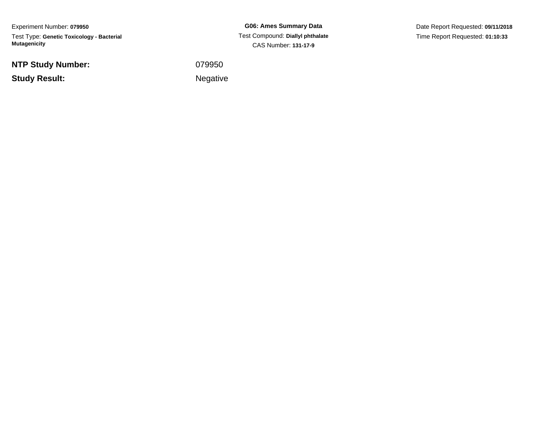Experiment Number: **079950**Test Type: **Genetic Toxicology - Bacterial Mutagenicity**

**NTP Study Number:**

**Study Result:**

**G06: Ames Summary Data** Test Compound: **Diallyl phthalate**CAS Number: **131-17-9**

Date Report Requested: **09/11/2018**Time Report Requested: **01:10:33**

<sup>079950</sup>

Negative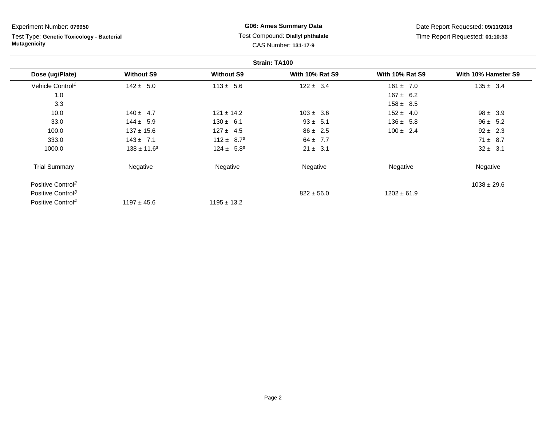Test Type: **Genetic Toxicology - Bacterial Mutagenicity**

## **G06: Ames Summary Data** Test Compound: **Diallyl phthalate**CAS Number: **131-17-9**

|                               |                   |                            | Strain: TA100          |                        |                     |
|-------------------------------|-------------------|----------------------------|------------------------|------------------------|---------------------|
| Dose (ug/Plate)               | <b>Without S9</b> | <b>Without S9</b>          | <b>With 10% Rat S9</b> | <b>With 10% Rat S9</b> | With 10% Hamster S9 |
| Vehicle Control <sup>1</sup>  | $142 \pm 5.0$     | $113 \pm 5.6$              | $122 \pm 3.4$          | $161 \pm 7.0$          | $135 \pm 3.4$       |
| 1.0                           |                   |                            |                        | $167 \pm 6.2$          |                     |
| 3.3                           |                   |                            |                        | $158 \pm 8.5$          |                     |
| 10.0                          | $140 \pm 4.7$     | $121 \pm 14.2$             | $103 \pm 3.6$          | $152 \pm 4.0$          | $98 \pm 3.9$        |
| 33.0                          | $144 \pm 5.9$     | $130 \pm 6.1$              | $93 \pm 5.1$           | $136 \pm 5.8$          | $96 \pm 5.2$        |
| 100.0                         | $137 \pm 15.6$    | $127 \pm 4.5$              | $86 \pm 2.5$           | $100 \pm 2.4$          | $92 \pm 2.3$        |
| 333.0                         | $143 \pm 7.1$     | $112 \pm 8.7$ <sup>s</sup> | $64 \pm 7.7$           |                        | $71 \pm 8.7$        |
| 1000.0                        | $138 \pm 11.6^s$  | $124 \pm 5.8^s$            | $21 \pm 3.1$           |                        | $32 \pm 3.1$        |
| <b>Trial Summary</b>          | Negative          | Negative                   | Negative               | Negative               | Negative            |
| Positive Control <sup>2</sup> |                   |                            |                        |                        | $1038 \pm 29.6$     |
| Positive Control <sup>3</sup> |                   |                            | $822 \pm 56.0$         | $1202 \pm 61.9$        |                     |
| Positive Control <sup>4</sup> | $1197 \pm 45.6$   | $1195 \pm 13.2$            |                        |                        |                     |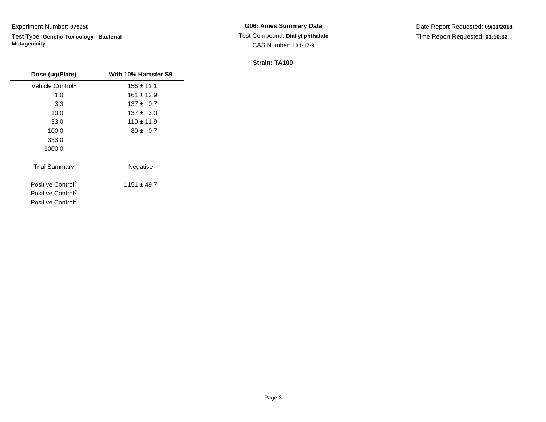Test Type: **Genetic Toxicology - Bacterial Mutagenicity**

|                                                                                                 |                     | <b>OUGHL LATE</b> |
|-------------------------------------------------------------------------------------------------|---------------------|-------------------|
| Dose (ug/Plate)                                                                                 | With 10% Hamster S9 |                   |
| Vehicle Control <sup>1</sup>                                                                    | $156 \pm 11.1$      |                   |
| 1.0                                                                                             | $161 \pm 12.9$      |                   |
| 3.3                                                                                             | $137 \pm 0.7$       |                   |
| 10.0                                                                                            | $137 \pm 3.0$       |                   |
| 33.0                                                                                            | $119 \pm 11.9$      |                   |
| 100.0                                                                                           | $89 \pm 0.7$        |                   |
| 333.0                                                                                           |                     |                   |
| 1000.0                                                                                          |                     |                   |
| <b>Trial Summary</b>                                                                            | Negative            |                   |
| Positive Control <sup>2</sup><br>Positive Control <sup>3</sup><br>Positive Control <sup>4</sup> | $1151 \pm 49.7$     |                   |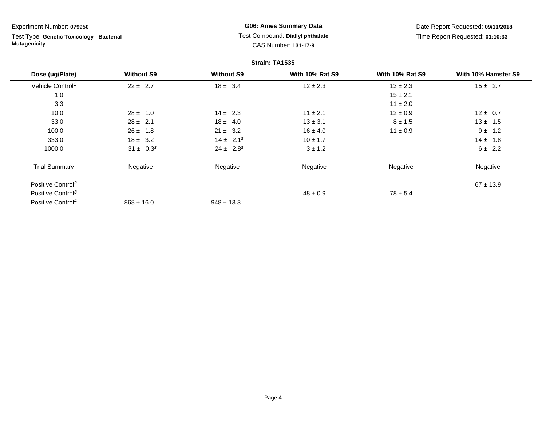Test Type: **Genetic Toxicology - Bacterial Mutagenicity**

## **G06: Ames Summary Data** Test Compound: **Diallyl phthalate**CAS Number: **131-17-9**

|                               |                   |                   | Strain: TA1535         |                        |                     |
|-------------------------------|-------------------|-------------------|------------------------|------------------------|---------------------|
| Dose (ug/Plate)               | <b>Without S9</b> | <b>Without S9</b> | <b>With 10% Rat S9</b> | <b>With 10% Rat S9</b> | With 10% Hamster S9 |
| Vehicle Control <sup>1</sup>  | $22 \pm 2.7$      | $18 \pm 3.4$      | $12 \pm 2.3$           | $13 \pm 2.3$           | $15 \pm 2.7$        |
| 1.0                           |                   |                   |                        | $15 \pm 2.1$           |                     |
| 3.3                           |                   |                   |                        | $11 \pm 2.0$           |                     |
| 10.0                          | $28 \pm 1.0$      | $14 \pm 2.3$      | $11 \pm 2.1$           | $12 \pm 0.9$           | $12 \pm 0.7$        |
| 33.0                          | $28 \pm 2.1$      | $18 \pm 4.0$      | $13 \pm 3.1$           | $8 \pm 1.5$            | $13 \pm 1.5$        |
| 100.0                         | $26 \pm 1.8$      | $21 \pm 3.2$      | $16 \pm 4.0$           | $11 \pm 0.9$           | $9 \pm 1.2$         |
| 333.0                         | $18 \pm 3.2$      | $14 \pm 2.1^s$    | $10 \pm 1.7$           |                        | $14 \pm 1.8$        |
| 1000.0                        | $31 \pm 0.3^s$    | $24 \pm 2.8^s$    | $3 \pm 1.2$            |                        | $6 \pm 2.2$         |
| <b>Trial Summary</b>          | Negative          | Negative          | Negative               | Negative               | Negative            |
| Positive Control <sup>2</sup> |                   |                   |                        |                        | $67 \pm 13.9$       |
| Positive Control <sup>3</sup> |                   |                   | $48 \pm 0.9$           | $78 \pm 5.4$           |                     |
| Positive Control <sup>4</sup> | $868 \pm 16.0$    | $948 \pm 13.3$    |                        |                        |                     |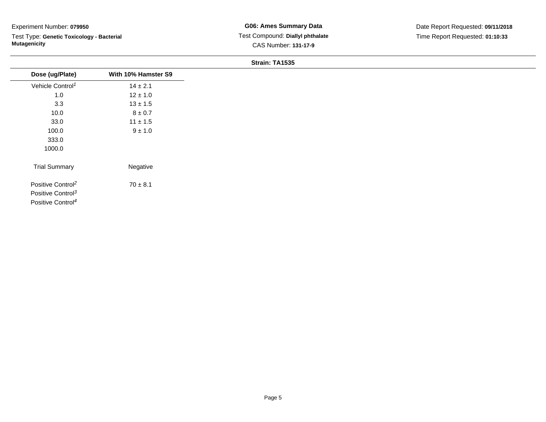Test Type: **Genetic Toxicology - Bacterial Mutagenicity**

| Dose (ug/Plate)               | With 10% Hamster S9 |
|-------------------------------|---------------------|
| Vehicle Control <sup>1</sup>  | $14 \pm 2.1$        |
| 1.0                           | $12 \pm 1.0$        |
| 3.3                           | $13 \pm 1.5$        |
| 10.0                          | $8\pm0.7$           |
| 33.0                          | $11 \pm 1.5$        |
| 100.0                         | $9 \pm 1.0$         |
| 333.0                         |                     |
| 1000.0                        |                     |
| <b>Trial Summary</b>          | Negative            |
| Positive Control <sup>2</sup> | $70 \pm 8.1$        |
| Positive Control <sup>3</sup> |                     |
| Positive Control <sup>4</sup> |                     |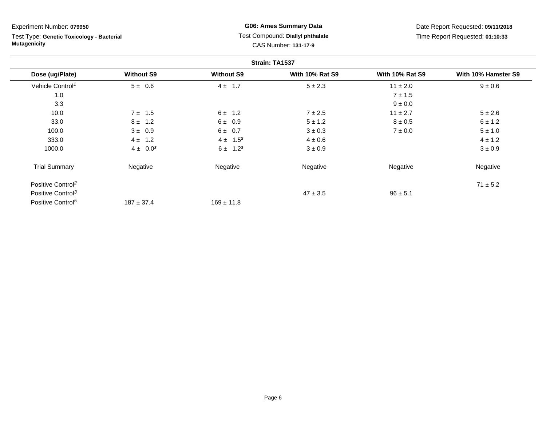Test Type: **Genetic Toxicology - Bacterial Mutagenicity**

**G06: Ames Summary Data** Test Compound: **Diallyl phthalate**CAS Number: **131-17-9**

|                               |                   |                   | Strain: TA1537         |                        |                     |
|-------------------------------|-------------------|-------------------|------------------------|------------------------|---------------------|
| Dose (ug/Plate)               | <b>Without S9</b> | <b>Without S9</b> | <b>With 10% Rat S9</b> | <b>With 10% Rat S9</b> | With 10% Hamster S9 |
| Vehicle Control <sup>1</sup>  | $5 \pm 0.6$       | $4 \pm 1.7$       | $5 \pm 2.3$            | $11 \pm 2.0$           | $9 \pm 0.6$         |
| 1.0                           |                   |                   |                        | $7 \pm 1.5$            |                     |
| 3.3                           |                   |                   |                        | $9\pm0.0$              |                     |
| 10.0                          | $7 \pm 1.5$       | $6 \pm 1.2$       | $7 \pm 2.5$            | $11 \pm 2.7$           | $5 \pm 2.6$         |
| 33.0                          | $8 \pm 1.2$       | $6 \pm 0.9$       | $5 \pm 1.2$            | $8 \pm 0.5$            | $6 \pm 1.2$         |
| 100.0                         | $3 \pm 0.9$       | $6 \pm 0.7$       | $3 \pm 0.3$            | $7 \pm 0.0$            | $5 \pm 1.0$         |
| 333.0                         | $4 \pm 1.2$       | $4 \pm 1.5^{s}$   | $4 \pm 0.6$            |                        | $4 \pm 1.2$         |
| 1000.0                        | $4 \pm 0.0^{s}$   | $6 \pm 1.2^s$     | $3 \pm 0.9$            |                        | $3 \pm 0.9$         |
| <b>Trial Summary</b>          | Negative          | Negative          | Negative               | Negative               | Negative            |
| Positive Control <sup>2</sup> |                   |                   |                        |                        | $71 \pm 5.2$        |
| Positive Control <sup>3</sup> |                   |                   | $47 \pm 3.5$           | $96 \pm 5.1$           |                     |
| Positive Control <sup>5</sup> | $187 \pm 37.4$    | $169 \pm 11.8$    |                        |                        |                     |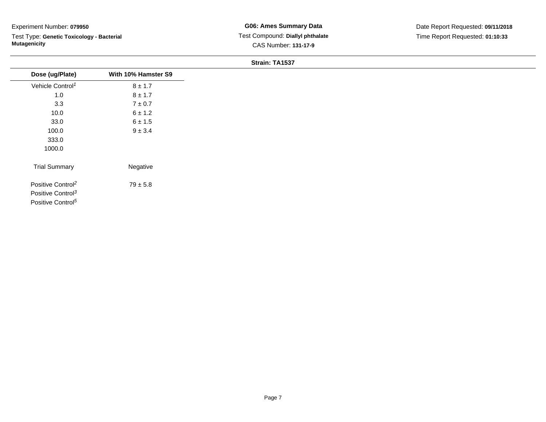Test Type: **Genetic Toxicology - Bacterial Mutagenicity**

| Dose (ug/Plate)               | With 10% Hamster S9 |
|-------------------------------|---------------------|
| Vehicle Control <sup>1</sup>  | $8 \pm 1.7$         |
| 1.0                           | $8 \pm 1.7$         |
| 3.3                           | $7\pm0.7$           |
| 10.0                          | $6 \pm 1.2$         |
| 33.0                          | $6 \pm 1.5$         |
| 100.0                         | $9 \pm 3.4$         |
| 333.0                         |                     |
| 1000.0                        |                     |
| <b>Trial Summary</b>          | Negative            |
| Positive Control <sup>2</sup> | $79 \pm 5.8$        |
| Positive Control <sup>3</sup> |                     |
| Positive Control <sup>5</sup> |                     |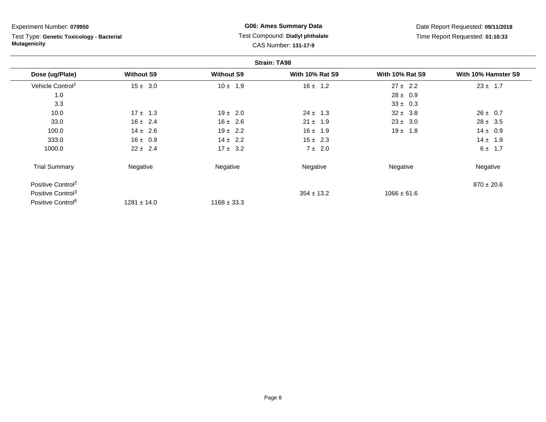Test Type: **Genetic Toxicology - Bacterial Mutagenicity**

## **G06: Ames Summary Data** Test Compound: **Diallyl phthalate**CAS Number: **131-17-9**

|                               |                   |                   | <b>Strain: TA98</b>    |                        |                     |
|-------------------------------|-------------------|-------------------|------------------------|------------------------|---------------------|
| Dose (ug/Plate)               | <b>Without S9</b> | <b>Without S9</b> | <b>With 10% Rat S9</b> | <b>With 10% Rat S9</b> | With 10% Hamster S9 |
| Vehicle Control <sup>1</sup>  | $15 \pm 3.0$      | $10 \pm 1.9$      | $16 \pm 1.2$           | $27 \pm 2.2$           | $23 \pm 1.7$        |
| 1.0                           |                   |                   |                        | $28 \pm 0.9$           |                     |
| 3.3                           |                   |                   |                        | $33 \pm 0.3$           |                     |
| 10.0                          | $17 \pm 1.3$      | $19 \pm 2.0$      | $24 \pm 1.3$           | $32 \pm 3.8$           | $26 \pm 0.7$        |
| 33.0                          | $16 \pm 2.4$      | $16 \pm 2.6$      | $21 \pm 1.9$           | $23 \pm 3.0$           | $28 \pm 3.5$        |
| 100.0                         | $14 \pm 2.6$      | $19 \pm 2.2$      | $16 \pm 1.9$           | $19 \pm 1.8$           | $14 \pm 0.9$        |
| 333.0                         | $16 \pm 0.9$      | $14 \pm 2.2$      | $15 \pm 2.3$           |                        | $14 \pm 1.9$        |
| 1000.0                        | $22 \pm 2.4$      | $17 \pm 3.2$      | 7 ± 2.0                |                        | $6 \pm 1.7$         |
| <b>Trial Summary</b>          | Negative          | Negative          | Negative               | Negative               | Negative            |
| Positive Control <sup>2</sup> |                   |                   |                        |                        | $870 \pm 20.6$      |
| Positive Control <sup>3</sup> |                   |                   | $354 \pm 13.2$         | $1066 \pm 61.6$        |                     |
| Positive Control <sup>6</sup> | $1281 \pm 14.0$   | $1168 \pm 33.3$   |                        |                        |                     |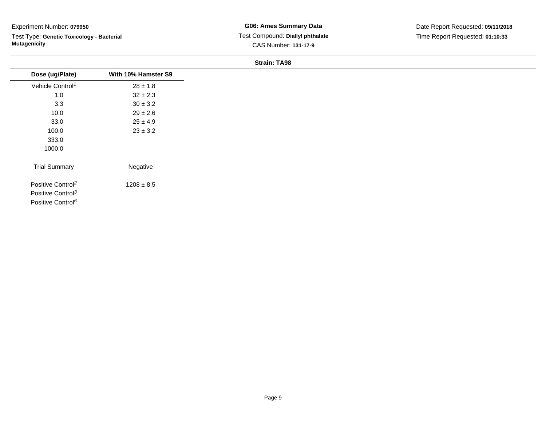Test Type: **Genetic Toxicology - Bacterial Mutagenicity**

## **G06: Ames Summary Data** Test Compound: **Diallyl phthalate**CAS Number: **131-17-9**

| Dose (ug/Plate)               | With 10% Hamster S9 |
|-------------------------------|---------------------|
| Vehicle Control <sup>1</sup>  | $28 \pm 1.8$        |
| 1.0                           | $32 \pm 2.3$        |
| 3.3                           | $30 \pm 3.2$        |
| 10.0                          | $29 \pm 2.6$        |
| 33.0                          | $25 \pm 4.9$        |
| 100.0                         | $23 \pm 3.2$        |
| 333.0                         |                     |
| 1000.0                        |                     |
| <b>Trial Summary</b>          | Negative            |
| Positive Control <sup>2</sup> | $1208 \pm 8.5$      |
| Positive Control <sup>3</sup> |                     |
| Positive Control <sup>6</sup> |                     |
|                               |                     |